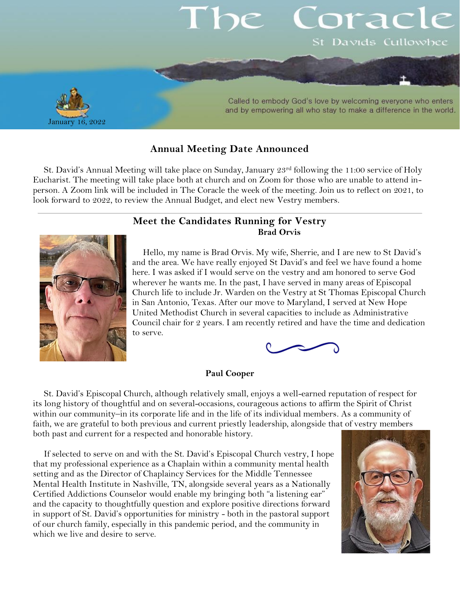

# **Annual Meeting Date Announced**

St. David's Annual Meeting will take place on Sunday, January 23rd following the 11:00 service of Holy Eucharist. The meeting will take place both at church and on Zoom for those who are unable to attend inperson. A Zoom link will be included in The Coracle the week of the meeting. Join us to reflect on 2021, to look forward to 2022, to review the Annual Budget, and elect new Vestry members.

## **Meet the Candidates Running for Vestry Brad Orvis**



Hello, my name is Brad Orvis. My wife, Sherrie, and I are new to St David's and the area. We have really enjoyed St David's and feel we have found a home here. I was asked if I would serve on the vestry and am honored to serve God wherever he wants me. In the past, I have served in many areas of Episcopal Church life to include Jr. Warden on the Vestry at St Thomas Episcopal Church in San Antonio, Texas. After our move to Maryland, I served at New Hope United Methodist Church in several capacities to include as Administrative Council chair for 2 years. I am recently retired and have the time and dedication to serve.



### **Paul Cooper**

St. David's Episcopal Church, although relatively small, enjoys a well-earned reputation of respect for its long history of thoughtful and on several-occasions, courageous actions to affirm the Spirit of Christ within our community–in its corporate life and in the life of its individual members. As a community of faith, we are grateful to both previous and current priestly leadership, alongside that of vestry members both past and current for a respected and honorable history.

If selected to serve on and with the St. David's Episcopal Church vestry, I hope that my professional experience as a Chaplain within a community mental health setting and as the Director of Chaplaincy Services for the Middle Tennessee Mental Health Institute in Nashville, TN, alongside several years as a Nationally Certified Addictions Counselor would enable my bringing both "a listening ear" and the capacity to thoughtfully question and explore positive directions forward in support of St. David's opportunities for ministry - both in the pastoral support of our church family, especially in this pandemic period, and the community in which we live and desire to serve.

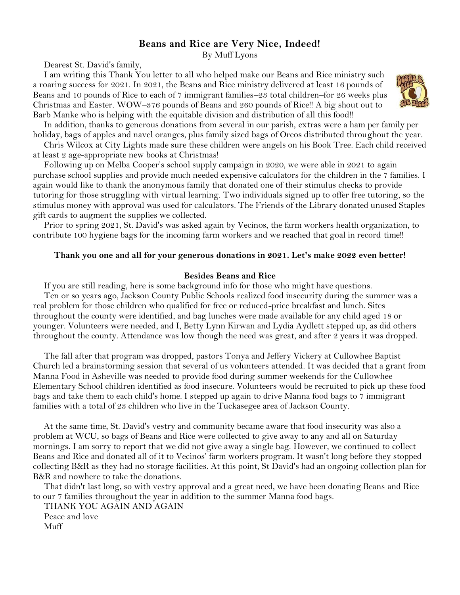# **Beans and Rice are Very Nice, Indeed!**

By Muff Lyons

Dearest St. David's family,

I am writing this Thank You letter to all who helped make our Beans and Rice ministry such a roaring success for 2021. In 2021, the Beans and Rice ministry delivered at least 16 pounds of Beans and 10 pounds of Rice to each of 7 immigrant families–23 total children–for 26 weeks plus Christmas and Easter. WOW–376 pounds of Beans and 260 pounds of Rice!! A big shout out to Barb Manke who is helping with the equitable division and distribution of all this food!!



In addition, thanks to generous donations from several in our parish, extras were a ham per family per holiday, bags of apples and navel oranges, plus family sized bags of Oreos distributed throughout the year.

Chris Wilcox at City Lights made sure these children were angels on his Book Tree. Each child received at least 2 age-appropriate new books at Christmas!

Following up on Melba Cooper's school supply campaign in 2020, we were able in 2021 to again purchase school supplies and provide much needed expensive calculators for the children in the 7 families. I again would like to thank the anonymous family that donated one of their stimulus checks to provide tutoring for those struggling with virtual learning. Two individuals signed up to offer free tutoring, so the stimulus money with approval was used for calculators. The Friends of the Library donated unused Staples gift cards to augment the supplies we collected.

Prior to spring 2021, St. David's was asked again by Vecinos, the farm workers health organization, to contribute 100 hygiene bags for the incoming farm workers and we reached that goal in record time!!

#### **Thank you one and all for your generous donations in 2021. Let's make 2022 even better!**

#### **Besides Beans and Rice**

If you are still reading, here is some background info for those who might have questions.

Ten or so years ago, Jackson County Public Schools realized food insecurity during the summer was a real problem for those children who qualified for free or reduced-price breakfast and lunch. Sites throughout the county were identified, and bag lunches were made available for any child aged 18 or younger. Volunteers were needed, and I, Betty Lynn Kirwan and Lydia Aydlett stepped up, as did others throughout the county. Attendance was low though the need was great, and after 2 years it was dropped.

The fall after that program was dropped, pastors Tonya and Jeffery Vickery at Cullowhee Baptist Church led a brainstorming session that several of us volunteers attended. It was decided that a grant from Manna Food in Asheville was needed to provide food during summer weekends for the Cullowhee Elementary School children identified as food insecure. Volunteers would be recruited to pick up these food bags and take them to each child's home. I stepped up again to drive Manna food bags to 7 immigrant families with a total of 23 children who live in the Tuckasegee area of Jackson County.

At the same time, St. David's vestry and community became aware that food insecurity was also a problem at WCU, so bags of Beans and Rice were collected to give away to any and all on Saturday mornings. I am sorry to report that we did not give away a single bag. However, we continued to collect Beans and Rice and donated all of it to Vecinos' farm workers program. It wasn't long before they stopped collecting B&R as they had no storage facilities. At this point, St David's had an ongoing collection plan for B&R and nowhere to take the donations.

That didn't last long, so with vestry approval and a great need, we have been donating Beans and Rice to our 7 families throughout the year in addition to the summer Manna food bags.

THANK YOU AGAIN AND AGAIN Peace and love Muff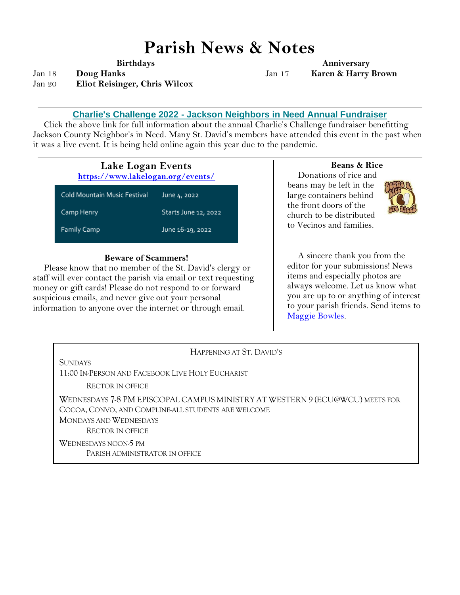# **Parish News & Notes**

**Birthdays**

Jan 18 **Doug Hanks** Jan 20 **Eliot Reisinger, Chris Wilcox**

**Anniversary** Jan 17 **Karen & Harry Brown**

## **Charlie's Challenge 2022 - [Jackson Neighbors in Need Annual Fundraiser](https://jacksonnieghborsinneed.us4.list-manage.com/track/click?u=e4ee452bf52c6dae6fe5f39d9&id=b4c1c7fc90&e=ba212b7a96)**

Click the above link for full information about the annual Charlie's Challenge fundraiser benefitting Jackson County Neighbor's in Need. Many St. David's members have attended this event in the past when it was a live event. It is being held online again this year due to the pandemic.

| Lake Logan Events<br>https://www.lakelogan.org/events/ |                      |
|--------------------------------------------------------|----------------------|
| Cold Mountain Music Festival                           | June 4, 2022         |
| Camp Henry                                             | Starts June 12, 2022 |
| <b>Family Camp</b>                                     | June 16-19, 2022     |

#### **Beware of Scammers!**

Please know that no member of the St. David's clergy or staff will ever contact the parish via email or text requesting money or gift cards! Please do not respond to or forward suspicious emails, and never give out your personal information to anyone over the internet or through email.

### **Beans & Rice**

Donations of rice and beans may be left in the large containers behind the front doors of the church to be distributed to Vecinos and families.



A sincere thank you from the editor for your submissions! News items and especially photos are always welcome. Let us know what you are up to or anything of interest to your parish friends. Send items to [Maggie Bowles.](mailto:magbowles@gmail.com)

| HAPPENING AT ST. DAVID'S                                                     |  |
|------------------------------------------------------------------------------|--|
| SUNDAYS                                                                      |  |
| 11:00 In-Person and Facebook Live Holy Eucharist                             |  |
| RECTOR IN OFFICE                                                             |  |
| WEDNESDAYS 7-8 PM EPISCOPAL CAMPUS MINISTRY AT WESTERN 9 (ECU@WCU) MEETS FOR |  |
| COCOA, CONVO, AND COMPLINE-ALL STUDENTS ARE WELCOME                          |  |
| <b>MONDAYS AND WEDNESDAYS</b>                                                |  |
| <b>RECTOR IN OFFICE</b>                                                      |  |
| WEDNESDAYS NOON-5 PM                                                         |  |
| PARISH ADMINISTRATOR IN OFFICE                                               |  |